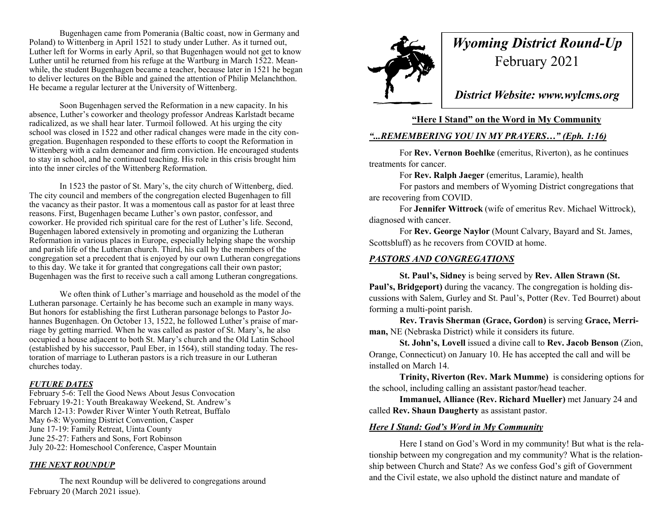Bugenhagen came from Pomerania (Baltic coast, now in Germany and Poland) to Wittenberg in April 1521 to study under Luther. As it turned out, Luther left for Worms in early April, so that Bugenhagen would not get to know Luther until he returned from his refuge at the Wartburg in March 1522. Meanwhile, the student Bugenhagen became a teacher, because later in 1521 he began to deliver lectures on the Bible and gained the attention of Philip Melanchthon. He became a regular lecturer at the University of Wittenberg.

Soon Bugenhagen served the Reformation in a new capacity. In his absence, Luther's coworker and theology professor Andreas Karlstadt became radicalized, as we shall hear later. Turmoil followed. At his urging the city school was closed in 1522 and other radical changes were made in the city congregation. Bugenhagen responded to these efforts to coopt the Reformation in Wittenberg with a calm demeanor and firm conviction. He encouraged students to stay in school, and he continued teaching. His role in this crisis brought him into the inner circles of the Wittenberg Reformation.

In 1523 the pastor of St. Mary's, the city church of Wittenberg, died. The city council and members of the congregation elected Bugenhagen to fill the vacancy as their pastor. It was a momentous call as pastor for at least three reasons. First, Bugenhagen became Luther's own pastor, confessor, and coworker. He provided rich spiritual care for the rest of Luther's life. Second, Bugenhagen labored extensively in promoting and organizing the Lutheran Reformation in various places in Europe, especially helping shape the worship and parish life of the Lutheran church. Third, his call by the members of the congregation set a precedent that is enjoyed by our own Lutheran congregations to this day. We take it for granted that congregations call their own pastor; Bugenhagen was the first to receive such a call among Lutheran congregations.

We often think of Luther's marriage and household as the model of the Lutheran parsonage. Certainly he has become such an example in many ways. But honors for establishing the first Lutheran parsonage belongs to Pastor Johannes Bugenhagen. On October 13, 1522, he followed Luther's praise of marriage by getting married. When he was called as pastor of St. Mary's, he also occupied a house adjacent to both St. Mary's church and the Old Latin School (established by his successor, Paul Eber, in 1564), still standing today. The restoration of marriage to Lutheran pastors is a rich treasure in our Lutheran churches today.

### *FUTURE DATES*

February 5-6: Tell the Good News About Jesus Convocation February 19-21: Youth Breakaway Weekend, St. Andrew's March 12-13: Powder River Winter Youth Retreat, Buffalo May 6-8: Wyoming District Convention, Casper June 17-19: Family Retreat, Uinta County June 25-27: Fathers and Sons, Fort Robinson July 20-22: Homeschool Conference, Casper Mountain

### *THE NEXT ROUNDUP*

The next Roundup will be delivered to congregations around February 20 (March 2021 issue).



# *Wyoming District Round-Up* February 2021

*District Website: www.wylcms.org*

## **"Here I Stand" on the Word in My Community**

# *"...REMEMBERING YOU IN MY PRAYERS…" (Eph. 1:16)*

For **Rev. Vernon Boehlke** (emeritus, Riverton), as he continues treatments for cancer.

For **Rev. Ralph Jaeger** (emeritus, Laramie), health

For pastors and members of Wyoming District congregations that are recovering from COVID.

For **Jennifer Wittrock** (wife of emeritus Rev. Michael Wittrock), diagnosed with cancer.

For **Rev. George Naylor** (Mount Calvary, Bayard and St. James, Scottsbluff) as he recovers from COVID at home.

## *PASTORS AND CONGREGATIONS*

**St. Paul's, Sidney** is being served by **Rev. Allen Strawn (St. Paul's, Bridgeport)** during the vacancy. The congregation is holding discussions with Salem, Gurley and St. Paul's, Potter (Rev. Ted Bourret) about forming a multi-point parish.

**Rev. Travis Sherman (Grace, Gordon)** is serving **Grace, Merriman,** NE (Nebraska District) while it considers its future.

**St. John's, Lovell** issued a divine call to **Rev. Jacob Benson** (Zion, Orange, Connecticut) on January 10. He has accepted the call and will be installed on March 14.

**Trinity, Riverton (Rev. Mark Mumme)** is considering options for the school, including calling an assistant pastor/head teacher.

**Immanuel, Alliance (Rev. Richard Mueller)** met January 24 and called **Rev. Shaun Daugherty** as assistant pastor.

# *Here I Stand: God's Word in My Community*

Here I stand on God's Word in my community! But what is the relationship between my congregation and my community? What is the relationship between Church and State? As we confess God's gift of Government and the Civil estate, we also uphold the distinct nature and mandate of